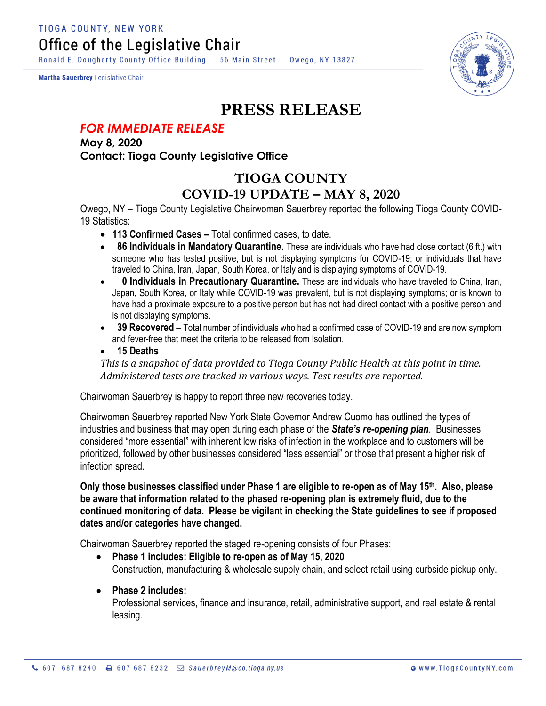Ronald E. Dougherty County Office Building 56 Main Street Owego, NY 13827

Martha Sauerbrey Legislative Chair



## **PRESS RELEASE**

## *FOR IMMEDIATE RELEASE*

**May 8, 2020 Contact: Tioga County Legislative Office**

## **TIOGA COUNTY COVID-19 UPDATE – MAY 8, 2020**

Owego, NY – Tioga County Legislative Chairwoman Sauerbrey reported the following Tioga County COVID-19 Statistics:

- **113 Confirmed Cases –** Total confirmed cases, to date.
- **86 Individuals in Mandatory Quarantine.** These are individuals who have had close contact (6 ft.) with someone who has tested positive, but is not displaying symptoms for COVID-19; or individuals that have traveled to China, Iran, Japan, South Korea, or Italy and is displaying symptoms of COVID-19.
- **0 Individuals in Precautionary Quarantine.** These are individuals who have traveled to China, Iran, Japan, South Korea, or Italy while COVID-19 was prevalent, but is not displaying symptoms; or is known to have had a proximate exposure to a positive person but has not had direct contact with a positive person and is not displaying symptoms.
- **39 Recovered** Total number of individuals who had a confirmed case of COVID-19 and are now symptom and fever-free that meet the criteria to be released from Isolation.
- **15 Deaths**

*This is a snapshot of data provided to Tioga County Public Health at this point in time. Administered tests are tracked in various ways. Test results are reported.*

Chairwoman Sauerbrey is happy to report three new recoveries today.

Chairwoman Sauerbrey reported New York State Governor Andrew Cuomo has outlined the types of industries and business that may open during each phase of the *State's re-opening plan*. Businesses considered "more essential" with inherent low risks of infection in the workplace and to customers will be prioritized, followed by other businesses considered "less essential" or those that present a higher risk of infection spread.

**Only those businesses classified under Phase 1 are eligible to re-open as of May 15th. Also, please be aware that information related to the phased re-opening plan is extremely fluid, due to the continued monitoring of data. Please be vigilant in checking the State guidelines to see if proposed dates and/or categories have changed.** 

Chairwoman Sauerbrey reported the staged re-opening consists of four Phases:

- **Phase 1 includes: Eligible to re-open as of May 15, 2020** Construction, manufacturing & wholesale supply chain, and select retail using curbside pickup only.
- **Phase 2 includes:**

Professional services, finance and insurance, retail, administrative support, and real estate & rental leasing.